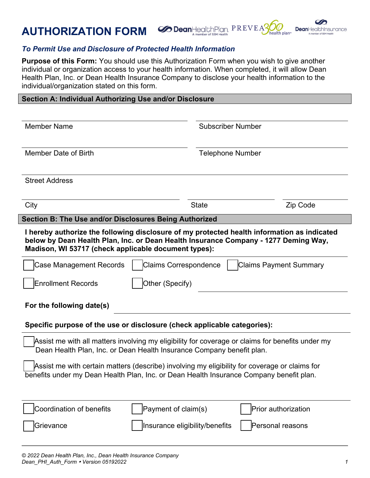



## *To Permit Use and Disclosure of Protected Health Information*

**Purpose of this Form:** You should use this Authorization Form when you wish to give another individual or organization access to your health information. When completed, it will allow Dean Health Plan, Inc. or Dean Health Insurance Company to disclose your health information to the individual/organization stated on this form.

| Section A: Individual Authorizing Use and/or Disclosure |
|---------------------------------------------------------|
|---------------------------------------------------------|

| <b>Member Name</b>                                                                                                                                                                                                                         |                                | <b>Subscriber Number</b> |  |  |
|--------------------------------------------------------------------------------------------------------------------------------------------------------------------------------------------------------------------------------------------|--------------------------------|--------------------------|--|--|
| Member Date of Birth                                                                                                                                                                                                                       | <b>Telephone Number</b>        |                          |  |  |
| <b>Street Address</b>                                                                                                                                                                                                                      |                                |                          |  |  |
| City                                                                                                                                                                                                                                       | <b>State</b>                   | Zip Code                 |  |  |
| Section B: The Use and/or Disclosures Being Authorized                                                                                                                                                                                     |                                |                          |  |  |
| I hereby authorize the following disclosure of my protected health information as indicated<br>below by Dean Health Plan, Inc. or Dean Health Insurance Company - 1277 Deming Way,<br>Madison, WI 53717 (check applicable document types): |                                |                          |  |  |
| <b>Case Management Records</b><br><b>Claims Correspondence</b><br>Claims Payment Summary                                                                                                                                                   |                                |                          |  |  |
| Other (Specify)<br><b>Enrollment Records</b>                                                                                                                                                                                               |                                |                          |  |  |
| For the following date(s)                                                                                                                                                                                                                  |                                |                          |  |  |
| Specific purpose of the use or disclosure (check applicable categories):                                                                                                                                                                   |                                |                          |  |  |
| Assist me with all matters involving my eligibility for coverage or claims for benefits under my<br>Dean Health Plan, Inc. or Dean Health Insurance Company benefit plan.                                                                  |                                |                          |  |  |
| Assist me with certain matters (describe) involving my eligibility for coverage or claims for<br>benefits under my Dean Health Plan, Inc. or Dean Health Insurance Company benefit plan.                                                   |                                |                          |  |  |
| Coordination of benefits                                                                                                                                                                                                                   | Payment of claim(s)            | Prior authorization      |  |  |
| Grievance                                                                                                                                                                                                                                  | Insurance eligibility/benefits | Personal reasons         |  |  |